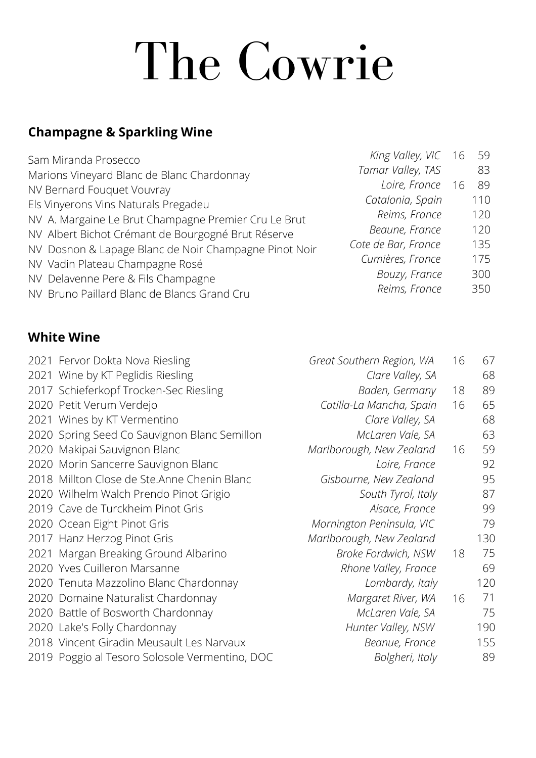# The Cowrie

## **Champagne & Sparkling Wine**

| Sam Miranda Prosecco                                  | King Valley, VIC 16 | 59  |
|-------------------------------------------------------|---------------------|-----|
| Marions Vineyard Blanc de Blanc Chardonnay            | Tamar Valley, TAS   | 83  |
| NV Bernard Fouquet Vouvray                            | Loire, France 16    | 89  |
| Els Vinyerons Vins Naturals Pregadeu                  | Catalonia, Spain    | 110 |
| NV A. Margaine Le Brut Champagne Premier Cru Le Brut  | Reims, France       | 120 |
| NV Albert Bichot Crémant de Bourgogné Brut Réserve    | Beaune, France      | 120 |
| NV Dosnon & Lapage Blanc de Noir Champagne Pinot Noir | Cote de Bar, France | 135 |
| NV Vadin Plateau Champagne Rosé                       | Cumières, France    | 175 |
| NV Delavenne Pere & Fils Champagne                    | Bouzy, France       | 300 |
| NV Bruno Paillard Blanc de Blancs Grand Cru           | Reims, France       | 350 |

#### **White Wine**

|      | 2021 Fervor Dokta Nova Riesling                | Great Southern Region, WA | 16 | 67  |
|------|------------------------------------------------|---------------------------|----|-----|
|      | 2021 Wine by KT Peglidis Riesling              | Clare Valley, SA          |    | 68  |
|      | 2017 Schieferkopf Trocken-Sec Riesling         | Baden, Germany            | 18 | 89  |
|      | 2020 Petit Verum Verdejo                       | Catilla-La Mancha, Spain  | 16 | 65  |
|      | 2021 Wines by KT Vermentino                    | Clare Valley, SA          |    | 68  |
|      | 2020 Spring Seed Co Sauvignon Blanc Semillon   | McLaren Vale, SA          |    | 63  |
|      | 2020 Makipai Sauvignon Blanc                   | Marlborough, New Zealand  | 16 | 59  |
|      | 2020 Morin Sancerre Sauvignon Blanc            | Loire, France             |    | 92  |
|      | 2018 Millton Close de Ste.Anne Chenin Blanc    | Gisbourne, New Zealand    |    | 95  |
|      | 2020 Wilhelm Walch Prendo Pinot Grigio         | South Tyrol, Italy        |    | 87  |
|      | 2019 Cave de Turckheim Pinot Gris              | Alsace, France            |    | 99  |
|      | 2020 Ocean Eight Pinot Gris                    | Mornington Peninsula, VIC |    | 79  |
|      | 2017 Hanz Herzog Pinot Gris                    | Marlborough, New Zealand  |    | 130 |
| 2021 | Margan Breaking Ground Albarino                | Broke Fordwich, NSW       | 18 | 75  |
|      | 2020 Yves Cuilleron Marsanne                   | Rhone Valley, France      |    | 69  |
|      | 2020 Tenuta Mazzolino Blanc Chardonnay         | Lombardy, Italy           |    | 120 |
|      | 2020 Domaine Naturalist Chardonnay             | Margaret River, WA        | 16 | 71  |
| 2020 | Battle of Bosworth Chardonnay                  | McLaren Vale, SA          |    | 75  |
|      | 2020 Lake's Folly Chardonnay                   | Hunter Valley, NSW        |    | 190 |
|      | 2018 Vincent Giradin Meusault Les Narvaux      | Beanue, France            |    | 155 |
|      | 2019 Poggio al Tesoro Solosole Vermentino, DOC | Bolgheri, Italy           |    | 89  |
|      |                                                |                           |    |     |